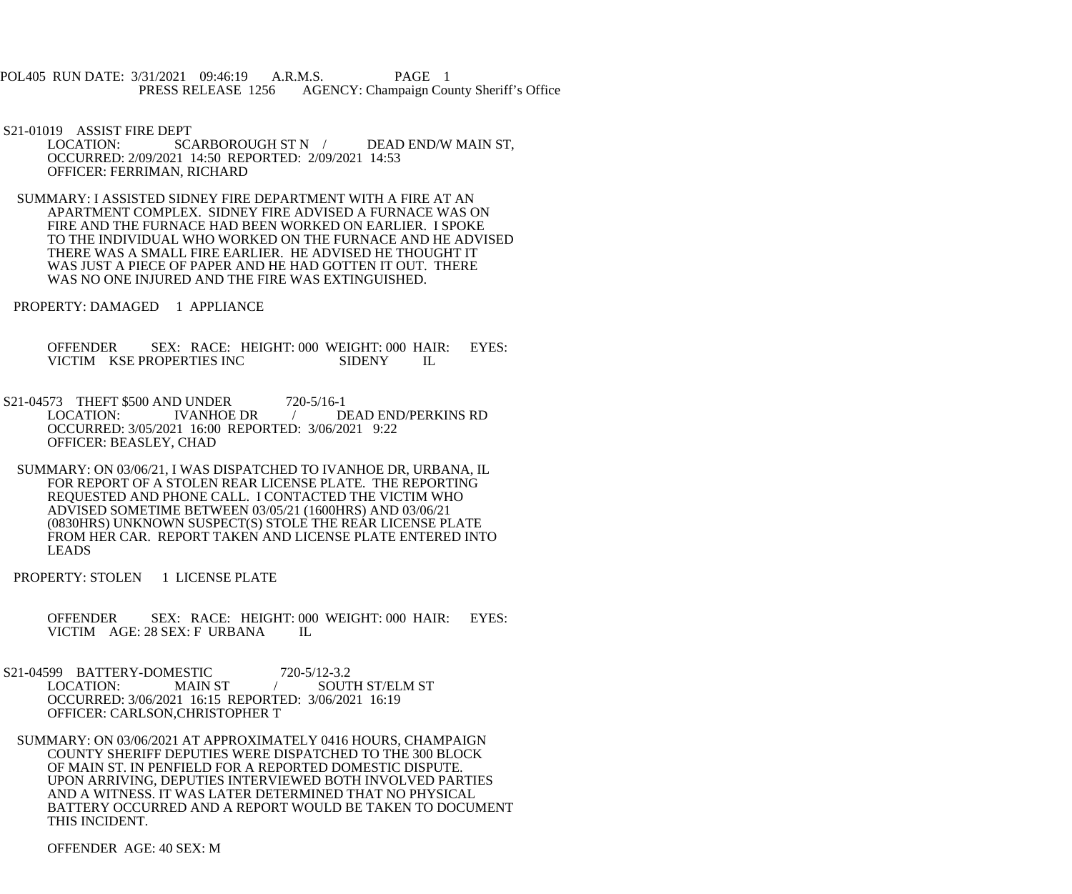POL405 RUN DATE: 3/31/2021 09:46:19 A.R.M.S. PAGE 1<br>PRESS RELEASE 1256 AGENCY: Champaign Cou AGENCY: Champaign County Sheriff's Office

S21-01019 ASSIST FIRE DEPT

- LOCATION: SCARBOROUGH ST N / DEAD END/W MAIN ST, OCCURRED: 2/09/2021 14:50 REPORTED: 2/09/2021 14:53 OFFICER: FERRIMAN, RICHARD
- SUMMARY: I ASSISTED SIDNEY FIRE DEPARTMENT WITH A FIRE AT AN APARTMENT COMPLEX. SIDNEY FIRE ADVISED A FURNACE WAS ON FIRE AND THE FURNACE HAD BEEN WORKED ON EARLIER. I SPOKE TO THE INDIVIDUAL WHO WORKED ON THE FURNACE AND HE ADVISED THERE WAS A SMALL FIRE EARLIER. HE ADVISED HE THOUGHT IT WAS JUST A PIECE OF PAPER AND HE HAD GOTTEN IT OUT. THERE WAS NO ONE INJURED AND THE FIRE WAS EXTINGUISHED.

PROPERTY: DAMAGED 1 APPLIANCE

OFFENDER SEX: RACE: HEIGHT: 000 WEIGHT: 000 HAIR: EYES:<br>VICTIM KSE PROPERTIES INC SIDENY IL VICTIM KSE PROPERTIES INC SIDENY IL

S21-04573 THEFT \$500 AND UNDER 720-5/16-1<br>LOCATION: IVANHOE DR / D / DEAD END/PERKINS RD OCCURRED: 3/05/2021 16:00 REPORTED: 3/06/2021 9:22 OFFICER: BEASLEY, CHAD

 SUMMARY: ON 03/06/21, I WAS DISPATCHED TO IVANHOE DR, URBANA, IL FOR REPORT OF A STOLEN REAR LICENSE PLATE. THE REPORTING REQUESTED AND PHONE CALL. I CONTACTED THE VICTIM WHO ADVISED SOMETIME BETWEEN 03/05/21 (1600HRS) AND 03/06/21 (0830HRS) UNKNOWN SUSPECT(S) STOLE THE REAR LICENSE PLATE FROM HER CAR. REPORT TAKEN AND LICENSE PLATE ENTERED INTO LEADS

PROPERTY: STOLEN 1 LICENSE PLATE

- OFFENDER SEX: RACE: HEIGHT: 000 WEIGHT: 000 HAIR: EYES: VICTIM AGE: 28 SEX: F URBANA IL
- S21-04599 BATTERY-DOMESTIC 720-5/12-3.2 LOCATION: MAIN ST / SOUTH ST/ELM ST OCCURRED: 3/06/2021 16:15 REPORTED: 3/06/2021 16:19 OFFICER: CARLSON,CHRISTOPHER T
	- SUMMARY: ON 03/06/2021 AT APPROXIMATELY 0416 HOURS, CHAMPAIGN COUNTY SHERIFF DEPUTIES WERE DISPATCHED TO THE 300 BLOCK OF MAIN ST. IN PENFIELD FOR A REPORTED DOMESTIC DISPUTE. UPON ARRIVING, DEPUTIES INTERVIEWED BOTH INVOLVED PARTIES AND A WITNESS. IT WAS LATER DETERMINED THAT NO PHYSICAL BATTERY OCCURRED AND A REPORT WOULD BE TAKEN TO DOCUMENT THIS INCIDENT.

OFFENDER AGE: 40 SEX: M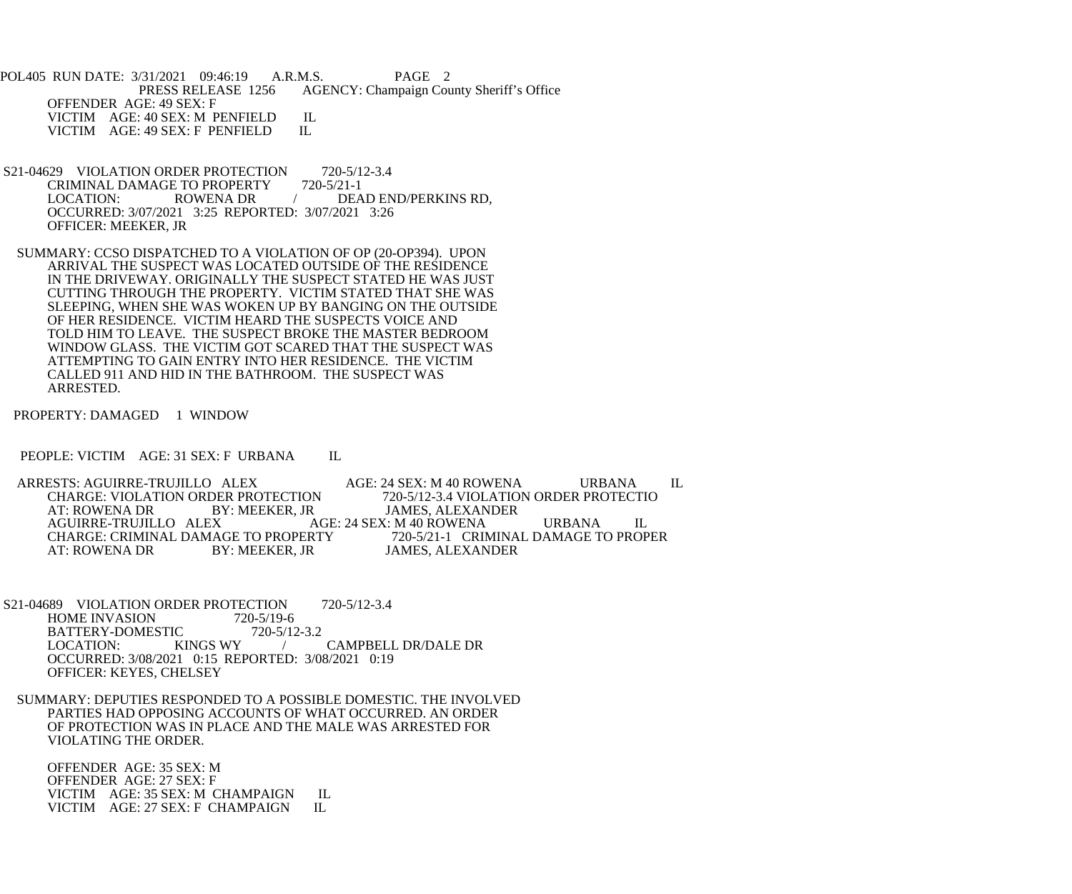POL405 RUN DATE: 3/31/2021 09:46:19 A.R.M.S. PAGE 2<br>PRESS RELEASE 1256 AGENCY: Champaign Cou AGENCY: Champaign County Sheriff's Office OFFENDER AGE: 49 SEX: F VICTIM AGE: 40 SEX: M PENFIELD IL<br>VICTIM AGE: 49 SEX: F PENFIELD IL VICTIM AGE: 49 SEX: F PENFIELD

- S21-04629 VIOLATION ORDER PROTECTION 720-5/12-3.4<br>CRIMINAL DAMAGE TO PROPERTY 720-5/21-1 CRIMINAL DAMAGE TO PROPERTY 7<br>LOCATION: ROWENA DR DEAD END/PERKINS RD, OCCURRED: 3/07/2021 3:25 REPORTED: 3/07/2021 3:26 OFFICER: MEEKER, JR
- SUMMARY: CCSO DISPATCHED TO A VIOLATION OF OP (20-OP394). UPON ARRIVAL THE SUSPECT WAS LOCATED OUTSIDE OF THE RESIDENCE IN THE DRIVEWAY. ORIGINALLY THE SUSPECT STATED HE WAS JUST CUTTING THROUGH THE PROPERTY. VICTIM STATED THAT SHE WAS SLEEPING, WHEN SHE WAS WOKEN UP BY BANGING ON THE OUTSIDE OF HER RESIDENCE. VICTIM HEARD THE SUSPECTS VOICE AND TOLD HIM TO LEAVE. THE SUSPECT BROKE THE MASTER BEDROOM WINDOW GLASS. THE VICTIM GOT SCARED THAT THE SUSPECT WAS ATTEMPTING TO GAIN ENTRY INTO HER RESIDENCE. THE VICTIM CALLED 911 AND HID IN THE BATHROOM. THE SUSPECT WAS ARRESTED.

PROPERTY: DAMAGED 1 WINDOW

PEOPLE: VICTIM AGE: 31 SEX: F URBANA IL

ARRESTS: AGUIRRE-TRUJILLO ALEX AGE: 24 SEX: M 40 ROWENA URBANA IL CHARGE: VIOLATION ORDER PROTECTION  $720-5/12-3.4$  VIOLATION ORDER PROTECTIO CHARGE: VIOLATION ORDER PROTECTION<br>AT: ROWENA DR BY: MEEKER. JR AT: ROWENA DR BY: MEEKER, JR JAMES, ALEXANDER<br>AGUIRRE-TRUJILLO ALEX AGE: 24 SEX: M 40 ROWENA AGE: 24 SEX: M 40 ROWENA URBANA IL<br>RTY 720-5/21-1 CRIMINAL DAMAGE TO PROPER CHARGE: CRIMINAL DAMAGE TO PROPERTY AT: ROWENA DR BY: MEEKER, JR JAMES, ALEXANDER

- S21-04689 VIOLATION ORDER PROTECTION 720-5/12-3.4<br>HOME INVASION 720-5/19-6 HOME INVASION 720-5/19-6<br>BATTERY-DOMESTIC 720-5/12-3.2 BATTERY-DOMESTIC<br>LOCATION: KINGS WY LOCATION: KINGS WY / CAMPBELL DR/DALE DR OCCURRED: 3/08/2021 0:15 REPORTED: 3/08/2021 0:19 OFFICER: KEYES, CHELSEY
- SUMMARY: DEPUTIES RESPONDED TO A POSSIBLE DOMESTIC. THE INVOLVED PARTIES HAD OPPOSING ACCOUNTS OF WHAT OCCURRED. AN ORDER OF PROTECTION WAS IN PLACE AND THE MALE WAS ARRESTED FOR VIOLATING THE ORDER.

 OFFENDER AGE: 35 SEX: M OFFENDER AGE: 27 SEX: F VICTIM AGE: 35 SEX: M CHAMPAIGN IL<br>VICTIM AGE: 27 SEX: F CHAMPAIGN IL VICTIM AGE: 27 SEX: F CHAMPAIGN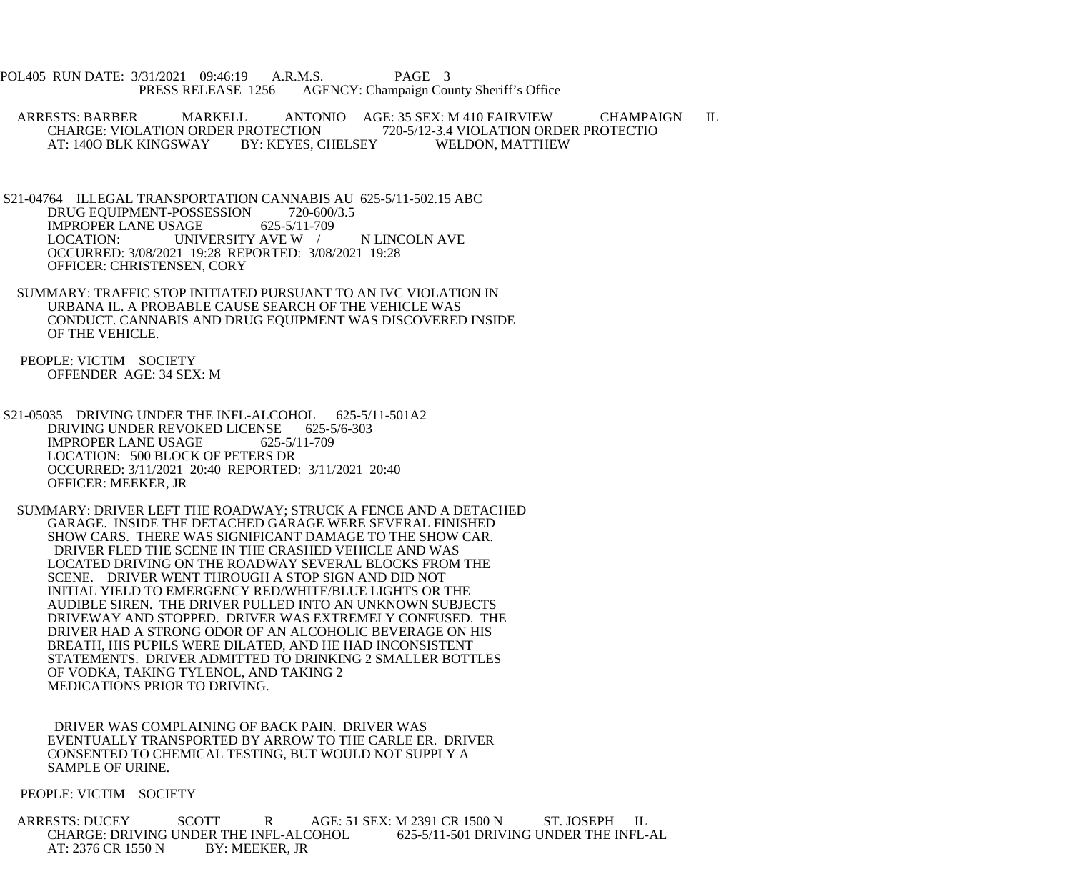POL405 RUN DATE: 3/31/2021 09:46:19 A.R.M.S. PAGE 3<br>PRESS RELEASE 1256 AGENCY: Champaign Cou AGENCY: Champaign County Sheriff's Office

ARRESTS: BARBER MARKELL ANTONIO AGE: 35 SEX: M 410 FAIRVIEW CHAMPAIGN IL<br>CHARGE: VIOLATION ORDER PROTECTION 720-5/12-3.4 VIOLATION ORDER PROTECTIO PROTECTION 720-5/12-3.4 VIOLATION ORDER PROTECTION<br>BY: KEYES, CHELSEY WELDON, MATTHEW AT: 1400 BLK KINGSWAY

- S21-04764 ILLEGAL TRANSPORTATION CANNABIS AU 625-5/11-502.15 ABC<br>DRUG EOUIPMENT-POSSESSION 720-600/3.5 DRUG EQUIPMENT-POSSESSION 720-600/<br>IMPROPER LANE USAGE 625-5/11-709 **IMPROPER LANE USAGE** LOCATION: UNIVERSITY AVE W / N LINCOLN AVE OCCURRED: 3/08/2021 19:28 REPORTED: 3/08/2021 19:28 OFFICER: CHRISTENSEN, CORY
- SUMMARY: TRAFFIC STOP INITIATED PURSUANT TO AN IVC VIOLATION IN URBANA IL. A PROBABLE CAUSE SEARCH OF THE VEHICLE WAS CONDUCT. CANNABIS AND DRUG EQUIPMENT WAS DISCOVERED INSIDE OF THE VEHICLE.
- PEOPLE: VICTIM SOCIETY OFFENDER AGE: 34 SEX: M
- S21-05035 DRIVING UNDER THE INFL-ALCOHOL 625-5/11-501A2<br>DRIVING UNDER REVOKED LICENSE 625-5/6-303 DRIVING UNDER REVOKED LICENSE IMPROPER LANE USAGE 625-5/11-709 LOCATION: 500 BLOCK OF PETERS DR OCCURRED: 3/11/2021 20:40 REPORTED: 3/11/2021 20:40 OFFICER: MEEKER, JR
- SUMMARY: DRIVER LEFT THE ROADWAY; STRUCK A FENCE AND A DETACHED GARAGE. INSIDE THE DETACHED GARAGE WERE SEVERAL FINISHED SHOW CARS. THERE WAS SIGNIFICANT DAMAGE TO THE SHOW CAR. DRIVER FLED THE SCENE IN THE CRASHED VEHICLE AND WAS LOCATED DRIVING ON THE ROADWAY SEVERAL BLOCKS FROM THE SCENE. DRIVER WENT THROUGH A STOP SIGN AND DID NOT INITIAL YIELD TO EMERGENCY RED/WHITE/BLUE LIGHTS OR THE AUDIBLE SIREN. THE DRIVER PULLED INTO AN UNKNOWN SUBJECTS DRIVEWAY AND STOPPED. DRIVER WAS EXTREMELY CONFUSED. THE DRIVER HAD A STRONG ODOR OF AN ALCOHOLIC BEVERAGE ON HIS BREATH, HIS PUPILS WERE DILATED, AND HE HAD INCONSISTENT STATEMENTS. DRIVER ADMITTED TO DRINKING 2 SMALLER BOTTLES OF VODKA, TAKING TYLENOL, AND TAKING 2 MEDICATIONS PRIOR TO DRIVING.

 DRIVER WAS COMPLAINING OF BACK PAIN. DRIVER WAS EVENTUALLY TRANSPORTED BY ARROW TO THE CARLE ER. DRIVER CONSENTED TO CHEMICAL TESTING, BUT WOULD NOT SUPPLY A SAMPLE OF URINE.

## PEOPLE: VICTIM SOCIETY

 ARRESTS: DUCEY SCOTT R AGE: 51 SEX: M 2391 CR 1500 N ST. JOSEPH IL CHARGE: DRIVING UNDER THE INFL-ALCOHOL 625-5/11-501 DRIVING UNDER THE INFL-AL AT: 2376 CR 1550 N BY: MEEKER, JR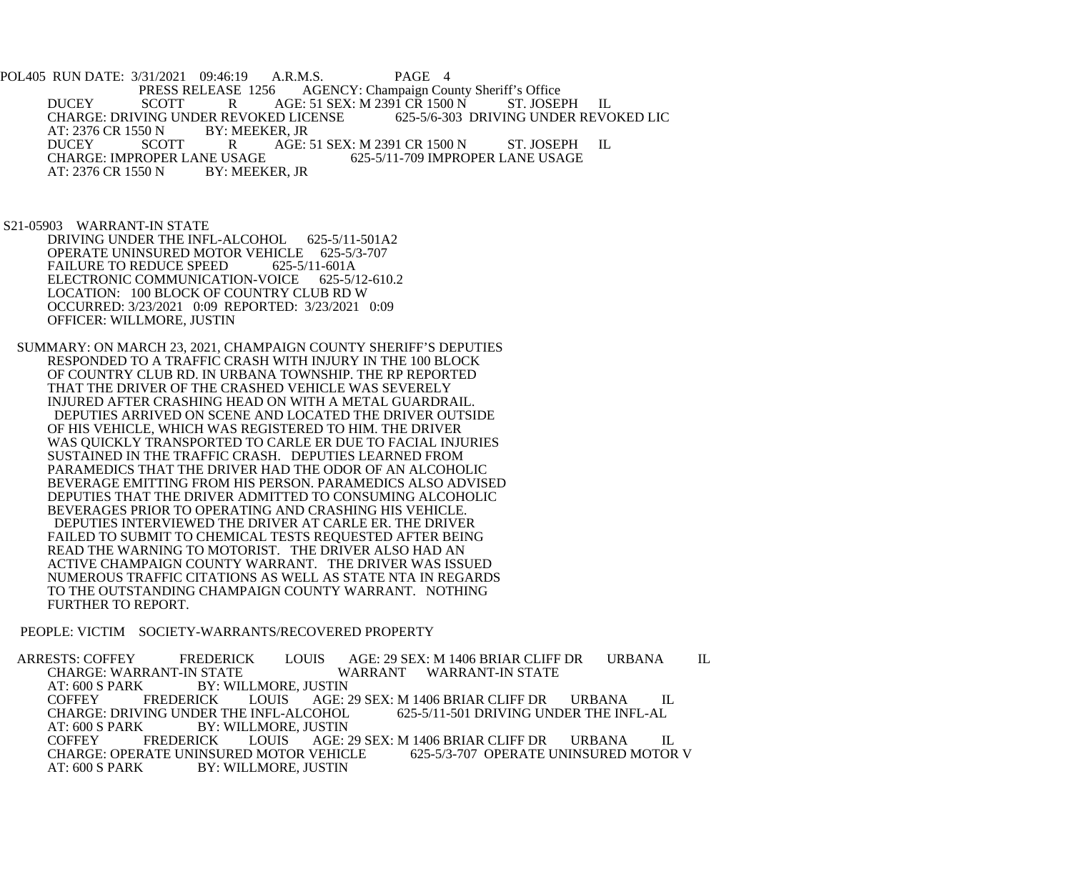POL405 RUN DATE: 3/31/2021 09:46:19 A.R.M.S. PAGE 4<br>PRESS RELEASE 1256 AGENCY: Champaign Cou AGENCY: Champaign County Sheriff's Office DUCEY SCOTT R AGE: 51 SEX: M 2391 CR 1500 N ST. JOSEPH IL<br>CHARGE: DRIVING UNDER REVOKED LICENSE 625-5/6-303 DRIVING UNDER REVOKED LIC CHARGE: DRIVING UNDER REVOKED LICENSE<br>AT: 2376 CR 1550 N<br>BY: MEEKER. JR AT: 2376 CR 1550 N<br>DUCEY SCO DUCEY SCOTT R AGE: 51 SEX: M 2391 CR 1500 N ST. JOSEPH IL<br>CHARGE: IMPROPER LANE USAGE 625-5/11-709 IMPROPER LANE USAGE NE USAGE 625-5/11-709 IMPROPER LANE USAGE<br>BY: MEEKER, JR AT: 2376 CR 1550 N

 S21-05903 WARRANT-IN STATE DRIVING UNDER THE INFL-ALCOHOL 625-5/11-501A2 OPERATE UNINSURED MOTOR VEHICLE 625-5/3-707<br>FAILURE TO REDUCE SPEED 625-5/11-601A FAILURE TO REDUCE SPEED ELECTRONIC COMMUNICATION-VOICE 625-5/12-610.2 LOCATION: 100 BLOCK OF COUNTRY CLUB RD W OCCURRED: 3/23/2021 0:09 REPORTED: 3/23/2021 0:09 OFFICER: WILLMORE, JUSTIN

 SUMMARY: ON MARCH 23, 2021, CHAMPAIGN COUNTY SHERIFF'S DEPUTIES RESPONDED TO A TRAFFIC CRASH WITH INJURY IN THE 100 BLOCK OF COUNTRY CLUB RD. IN URBANA TOWNSHIP. THE RP REPORTED THAT THE DRIVER OF THE CRASHED VEHICLE WAS SEVERELY INJURED AFTER CRASHING HEAD ON WITH A METAL GUARDRAIL. DEPUTIES ARRIVED ON SCENE AND LOCATED THE DRIVER OUTSIDE OF HIS VEHICLE, WHICH WAS REGISTERED TO HIM. THE DRIVER WAS QUICKLY TRANSPORTED TO CARLE ER DUE TO FACIAL INJURIES SUSTAINED IN THE TRAFFIC CRASH. DEPUTIES LEARNED FROM PARAMEDICS THAT THE DRIVER HAD THE ODOR OF AN ALCOHOLIC BEVERAGE EMITTING FROM HIS PERSON. PARAMEDICS ALSO ADVISED DEPUTIES THAT THE DRIVER ADMITTED TO CONSUMING ALCOHOLIC BEVERAGES PRIOR TO OPERATING AND CRASHING HIS VEHICLE. DEPUTIES INTERVIEWED THE DRIVER AT CARLE ER. THE DRIVER FAILED TO SUBMIT TO CHEMICAL TESTS REQUESTED AFTER BEING READ THE WARNING TO MOTORIST. THE DRIVER ALSO HAD AN ACTIVE CHAMPAIGN COUNTY WARRANT. THE DRIVER WAS ISSUED NUMEROUS TRAFFIC CITATIONS AS WELL AS STATE NTA IN REGARDS TO THE OUTSTANDING CHAMPAIGN COUNTY WARRANT. NOTHING FURTHER TO REPORT.

PEOPLE: VICTIM SOCIETY-WARRANTS/RECOVERED PROPERTY

ARRESTS: COFFEY FREDERICK LOUIS AGE: 29 SEX: M 1406 BRIAR CLIFF DR URBANA IL<br>CHARGE: WARRANT-IN STATE WARRANT WARRANT-IN STATE WARRANT WARRANT-IN STATE AT: 600 S PARK BY: WILLMORE, JUSTIN<br>COFFEY FREDERICK LOUIS AGE: 2 FREDERICK LOUIS AGE: 29 SEX: M 1406 BRIAR CLIFF DR URBANA IL ING UNDER THE INFL-ALCOHOL 625-5/11-501 DRIVING UNDER THE INFL-AL CHARGE: DRIVING UNDER THE INFL-ALCOHOL<br>AT: 600 S PARK BY: WILLMORE. JUSTIN AT: 600 S PARK BY: WILLMORE, JUSTIN<br>COFFEY FREDERICK LOUIS AGE: 2 AGE: 29 SEX: M 1406 BRIAR CLIFF DR URBANA IL CHARGE: OPERATE UNINSURED MOTOR VEHICLE 625-5/3-707 OPERATE UNINSURED MOTOR V<br>AT: 600 S PARK BY: WILLMORE. JUSTIN BY: WILLMORE, JUSTIN